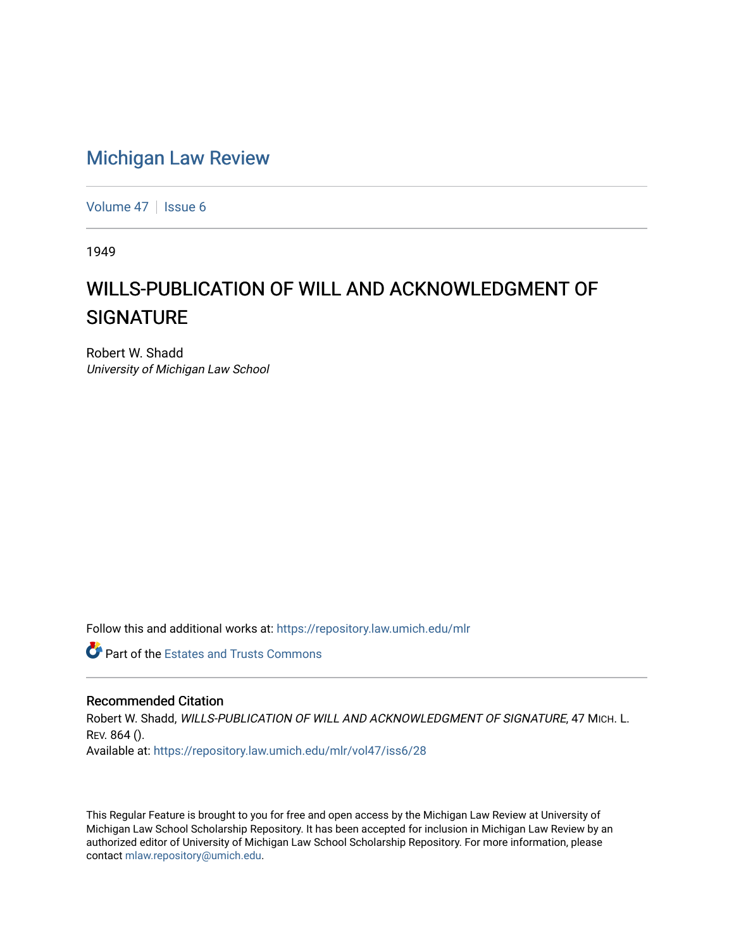## [Michigan Law Review](https://repository.law.umich.edu/mlr)

[Volume 47](https://repository.law.umich.edu/mlr/vol47) | [Issue 6](https://repository.law.umich.edu/mlr/vol47/iss6)

1949

## WILLS-PUBLICATION OF WILL AND ACKNOWLEDGMENT OF **SIGNATURE**

Robert W. Shadd University of Michigan Law School

Follow this and additional works at: [https://repository.law.umich.edu/mlr](https://repository.law.umich.edu/mlr?utm_source=repository.law.umich.edu%2Fmlr%2Fvol47%2Fiss6%2F28&utm_medium=PDF&utm_campaign=PDFCoverPages) 

**Part of the Estates and Trusts Commons** 

## Recommended Citation

Robert W. Shadd, WILLS-PUBLICATION OF WILL AND ACKNOWLEDGMENT OF SIGNATURE, 47 MICH. L. REV. 864 (). Available at: [https://repository.law.umich.edu/mlr/vol47/iss6/28](https://repository.law.umich.edu/mlr/vol47/iss6/28?utm_source=repository.law.umich.edu%2Fmlr%2Fvol47%2Fiss6%2F28&utm_medium=PDF&utm_campaign=PDFCoverPages) 

This Regular Feature is brought to you for free and open access by the Michigan Law Review at University of Michigan Law School Scholarship Repository. It has been accepted for inclusion in Michigan Law Review by an authorized editor of University of Michigan Law School Scholarship Repository. For more information, please contact [mlaw.repository@umich.edu](mailto:mlaw.repository@umich.edu).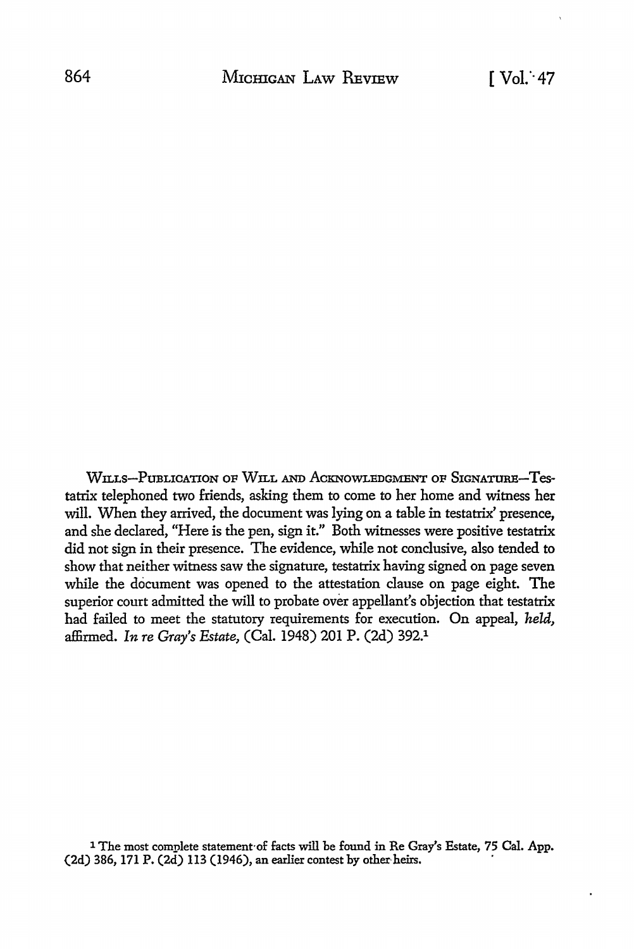WILLS-PUBLICATION OF WILL AND ACKNOWLEDGMENT OF SIGNATURB-Testatrix telephoned two friends, asking them to come to her home and witness her will. When they arrived, the document was lying on a table in testatrix' presence, and she declared, "Here is the pen, sign it." Both witnesses were positive testatrix did not sign in their presence. The evidence, while not conclusive, also tended to show that neither witness saw the signature, testatrix having signed on page seven while the document was opened to the attestation clause on page eight. The superior court admitted the will to probate over appellant's objection that testatrix had failed to meet the statutory requirements for execution. On appeal, *held,*  affirmed. *In re Gray's Estate,* (Cal. 1948) 201 P. (2d) 392.1

<sup>1</sup> The most complete statement·of facts will be found in Re Gray's Estate, 75 Cal. App. (2d) 386, 171 P. (2d) 113 (1946), an earlier contest by other heirs.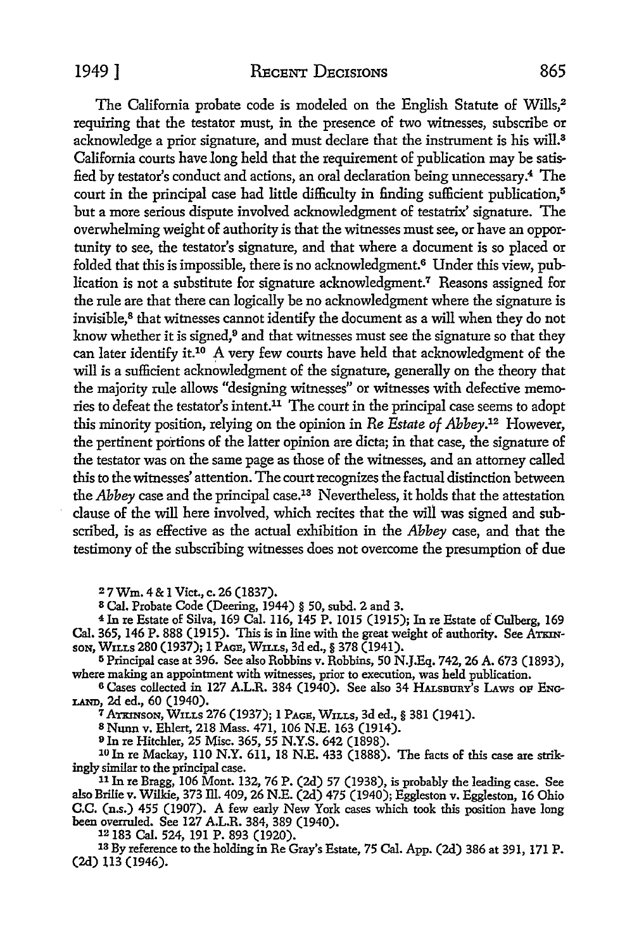The California probate code is modeled on the English Statute of Wills,<sup>2</sup> requiring that the testator must, in the presence of two witnesses, subscribe or acknowledge a prior signature, and must declare that the instrument is his will.<sup>3</sup> California courts have long held that the requirement of publication may be satisfied by testator's conduct and actions, an oral declaration being unnecessary.4 The court in the principal case had little difficulty in finding sufficient publication,<sup>5</sup> but a more serious dispute involved acknowledgment of testatrix' signature. The overwhelming weight of authority is that the witnesses must see, or have an opportunity to see, the testator's signature, and that where a document is so placed or folded that this is impossible, there is no acknowledgment.6 Under this view, publication is not a substitute for signature acknowledgment.<sup>7</sup> Reasons assigned for the rule are that there can logically be no acknowledgment where the signature is invisible,<sup>8</sup> that witnesses cannot identify the document as a will when they do not know whether it is signed,<sup>9</sup> and that witnesses must see the signature so that they can later identify it.<sup>10</sup> A very few courts have held that acknowledgment of the will is a sufficient acknowledgment of the signature, generally on the theory that the majority rule allows "designing witnesses" or witnesses with defective memories to defeat the testator's intent.11 The court in the principal case seems to adopt this minority position, relying on the opinion in *Re Estate of Abbey.12* However, the pertinent portions of the latter opinion are dicta; in that case, the signature of the testator was on the same page as those of the witnesses, and an attorney called this to the witnesses' attention. The court recognizes the factual distinction between the *Abbey* case and the principal case.13 Nevertheless, it holds that the attestation clause of the will here involved, which recites that the will was signed and subscribed, is as effective as the actual exhibition in the *Abbey* case, and that the testimony of the subscribing witnesses does not overcome the presumption of due

<sup>2</sup>7 Wm. 4 & 1 Viet., c. 26 (1837).

s Cal. Probate Code (Deering, 1944) § 50, subd. 2 and 3.

<sup>4</sup> In re Estate of Silva, 169 Cal. 116, 145 P. 1015 (1915); In re Estate of Culberg, 169 Cal. 365, 146 P. 888 (1915). This is in line with the great weight of authority. See ATKINsoN, WxLLs 280 (1937); 1 PAGE, WILLs, 3d ed.,§ 378 (1941).

<sup>5</sup> Principal case at 396. See also Robbins v. Robbins, 50 N.J.Eq. 742, 26 A. 673 (1893), where making an appointment with witnesses, prior to execution, was held publication.

6 Cases collected in 127 A.L.R. 384 (1940). See also 34 HALsBURY's LAws OF ENG-LAND, 2d ed., 60 (1940).

<sup>7</sup>ATKINSON, WILLS 276 (1937); 1 PAGE, WILLS, 3d ed.,§ 381 (1941).

s Nunn v. Ehlert, 218 Mass. 471, 106 N.E. 163 (1914).

<sup>9</sup> In re Hitchler, 25 Misc. 365, 55 N.Y.S. 642 (1898).

10 In re Mackay, 110 N.Y. 611, 18 N.E. 433 (1888). The facts of this case are strikingly similar to the principal case.<br><sup>11</sup> In re Bragg, 106 Mont. 132, 76 P. (2d) 57 (1938), is probably the leading case. See

also Brilie v. Wilkie, 373 ill. 409, 26 N.E. (2d) 475 (1940); Eggleston v. Eggleston, 16 Ohio C.C. (n.s.) 455 (1907). A few early New York cases which took this position have long been overruled. See 127 A.L.R. 384, 389 (1940).

12 183 Cal. 524, 191 P. 893 (1920).<br><sup>13</sup> By reference to the holding in Re Gray's Estate, 75 Cal. App. (2d) 386 at 391, 171 P. (2d) 113 (1946).